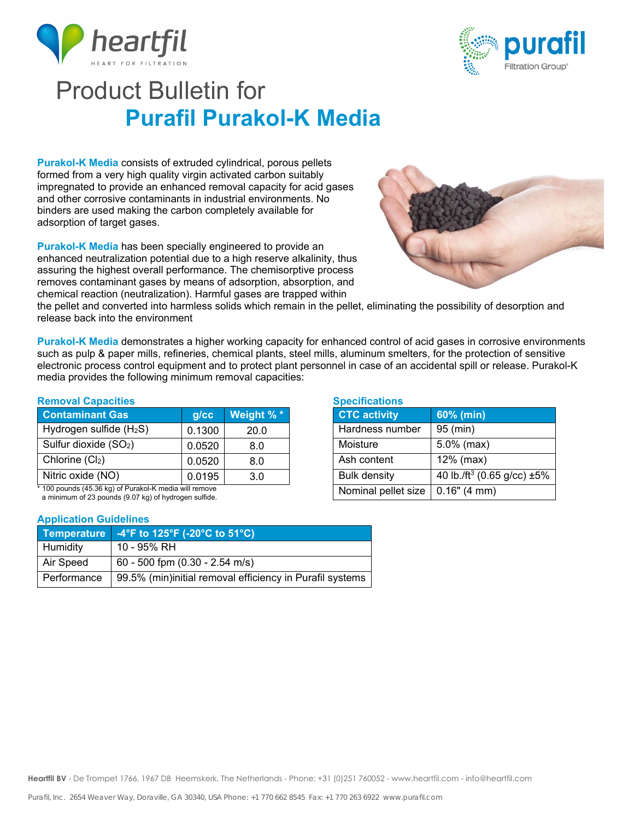



# Product Bulletin for  **Purafil Purakol-K Media**

**Purakol-K Media** consists of extruded cylindrical, porous pellets formed from a very high quality virgin activated carbon suitably impregnated to provide an enhanced removal capacity for acid gases and other corrosive contaminants in industrial environments. No binders are used making the carbon completely available for adsorption of target gases.

**Purakol-K Media** has been specially engineered to provide an enhanced neutralization potential due to a high reserve alkalinity, thus assuring the highest overall performance. The chemisorptive process removes contaminant gases by means of adsorption, absorption, and chemical reaction (neutralization). Harmful gases are trapped within



the pellet and converted into harmless solids which remain in the pellet, eliminating the possibility of desorption and release back into the environment

**Purakol-K Media** demonstrates a higher working capacity for enhanced control of acid gases in corrosive environments such as pulp & paper mills, refineries, chemical plants, steel mills, aluminum smelters, for the protection of sensitive electronic process control equipment and to protect plant personnel in case of an accidental spill or release. Purakol-K media provides the following minimum removal capacities:

### **Removal Capacities**

| <b>Contaminant Gas</b>            | $g$ / $cc$ | Weight %* |
|-----------------------------------|------------|-----------|
| Hydrogen sulfide $(H_2S)$         | 0.1300     | 20.0      |
| Sulfur dioxide (SO <sub>2</sub> ) | 0.0520     | 8.0       |
| Chlorine (Cl2)                    | 0.0520     | 8.0       |
| Nitric oxide (NO)                 | 0.0195     | 3.0       |

\* 100 pounds (45.36 kg) of Purakol-K media will remove a minimum of 23 pounds (9.07 kg) of hydrogen sulfide.

### **Application Guidelines**

| Temperature | $-4^{\circ}$ F to 125 $^{\circ}$ F (-20 $^{\circ}$ C to 51 $^{\circ}$ C) |
|-------------|--------------------------------------------------------------------------|
| Humidity    | 10 - 95% RH                                                              |
| Air Speed   | $\vert$ 60 - 500 fpm (0.30 - 2.54 m/s)                                   |
| Performance | 99.5% (min)initial removal efficiency in Purafil systems                 |

## **Specifications**

| <b>CTC activity</b> | 60% (min)                                    |
|---------------------|----------------------------------------------|
| Hardness number     | 95 (min)                                     |
| Moisture            | $5.0\%$ (max)                                |
| Ash content         | 12% (max)                                    |
| <b>Bulk density</b> | 40 lb./ft <sup>3</sup> (0.65 g/cc) $\pm 5\%$ |
| Nominal pellet size | 0.16" (4 mm)                                 |